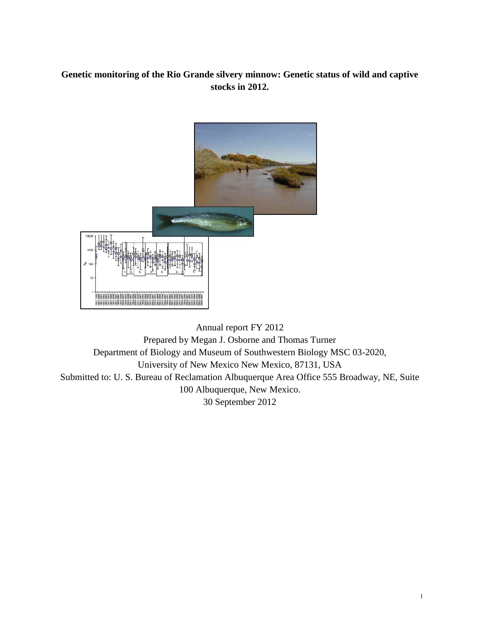# **Genetic monitoring of the Rio Grande silvery minnow: Genetic status of wild and captive stocks in 2012.**



Annual report FY 2012 Prepared by Megan J. Osborne and Thomas Turner Department of Biology and Museum of Southwestern Biology MSC 03-2020, University of New Mexico New Mexico, 87131, USA Submitted to: U. S. Bureau of Reclamation Albuquerque Area Office 555 Broadway, NE, Suite 100 Albuquerque, New Mexico. 30 September 2012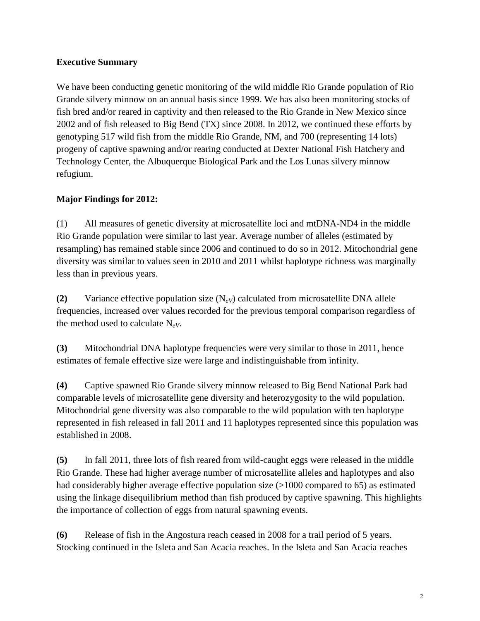# **Executive Summary**

We have been conducting genetic monitoring of the wild middle Rio Grande population of Rio Grande silvery minnow on an annual basis since 1999. We has also been monitoring stocks of fish bred and/or reared in captivity and then released to the Rio Grande in New Mexico since 2002 and of fish released to Big Bend (TX) since 2008. In 2012, we continued these efforts by genotyping 517 wild fish from the middle Rio Grande, NM, and 700 (representing 14 lots) progeny of captive spawning and/or rearing conducted at Dexter National Fish Hatchery and Technology Center, the Albuquerque Biological Park and the Los Lunas silvery minnow refugium.

# **Major Findings for 2012:**

(1) All measures of genetic diversity at microsatellite loci and mtDNA-ND4 in the middle Rio Grande population were similar to last year. Average number of alleles (estimated by resampling) has remained stable since 2006 and continued to do so in 2012. Mitochondrial gene diversity was similar to values seen in 2010 and 2011 whilst haplotype richness was marginally less than in previous years.

**(2)** Variance effective population size (N*eV*) calculated from microsatellite DNA allele frequencies, increased over values recorded for the previous temporal comparison regardless of the method used to calculate  $N_{eV}$ .

**(3)** Mitochondrial DNA haplotype frequencies were very similar to those in 2011, hence estimates of female effective size were large and indistinguishable from infinity.

**(4)** Captive spawned Rio Grande silvery minnow released to Big Bend National Park had comparable levels of microsatellite gene diversity and heterozygosity to the wild population. Mitochondrial gene diversity was also comparable to the wild population with ten haplotype represented in fish released in fall 2011 and 11 haplotypes represented since this population was established in 2008.

**(5)** In fall 2011, three lots of fish reared from wild-caught eggs were released in the middle Rio Grande. These had higher average number of microsatellite alleles and haplotypes and also had considerably higher average effective population size (>1000 compared to 65) as estimated using the linkage disequilibrium method than fish produced by captive spawning. This highlights the importance of collection of eggs from natural spawning events.

**(6)** Release of fish in the Angostura reach ceased in 2008 for a trail period of 5 years. Stocking continued in the Isleta and San Acacia reaches. In the Isleta and San Acacia reaches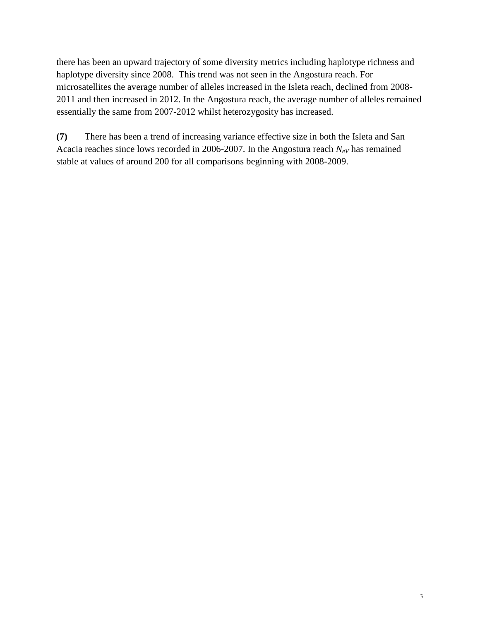there has been an upward trajectory of some diversity metrics including haplotype richness and haplotype diversity since 2008. This trend was not seen in the Angostura reach. For microsatellites the average number of alleles increased in the Isleta reach, declined from 2008- 2011 and then increased in 2012. In the Angostura reach, the average number of alleles remained essentially the same from 2007-2012 whilst heterozygosity has increased.

**(7)** There has been a trend of increasing variance effective size in both the Isleta and San Acacia reaches since lows recorded in 2006-2007. In the Angostura reach  $N_{eV}$  has remained stable at values of around 200 for all comparisons beginning with 2008-2009.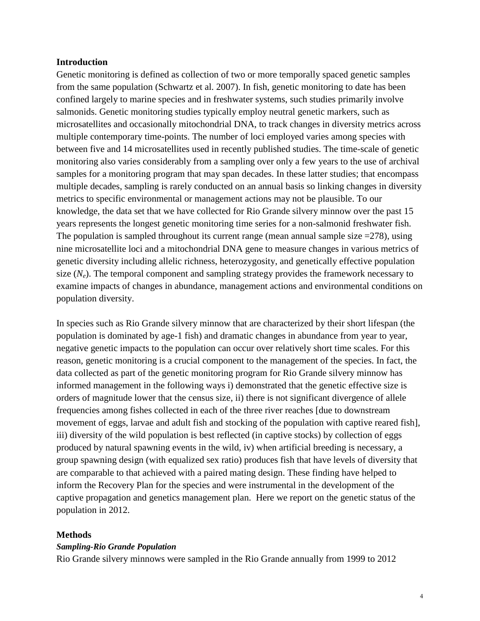#### **Introduction**

Genetic monitoring is defined as collection of two or more temporally spaced genetic samples from the same population (Schwartz et al. 2007). In fish, genetic monitoring to date has been confined largely to marine species and in freshwater systems, such studies primarily involve salmonids. Genetic monitoring studies typically employ neutral genetic markers, such as microsatellites and occasionally mitochondrial DNA, to track changes in diversity metrics across multiple contemporary time-points. The number of loci employed varies among species with between five and 14 microsatellites used in recently published studies. The time-scale of genetic monitoring also varies considerably from a sampling over only a few years to the use of archival samples for a monitoring program that may span decades. In these latter studies; that encompass multiple decades, sampling is rarely conducted on an annual basis so linking changes in diversity metrics to specific environmental or management actions may not be plausible. To our knowledge, the data set that we have collected for Rio Grande silvery minnow over the past 15 years represents the longest genetic monitoring time series for a non-salmonid freshwater fish. The population is sampled throughout its current range (mean annual sample size  $=278$ ), using nine microsatellite loci and a mitochondrial DNA gene to measure changes in various metrics of genetic diversity including allelic richness, heterozygosity, and genetically effective population size  $(N_e)$ . The temporal component and sampling strategy provides the framework necessary to examine impacts of changes in abundance, management actions and environmental conditions on population diversity.

In species such as Rio Grande silvery minnow that are characterized by their short lifespan (the population is dominated by age-1 fish) and dramatic changes in abundance from year to year, negative genetic impacts to the population can occur over relatively short time scales. For this reason, genetic monitoring is a crucial component to the management of the species. In fact, the data collected as part of the genetic monitoring program for Rio Grande silvery minnow has informed management in the following ways i) demonstrated that the genetic effective size is orders of magnitude lower that the census size, ii) there is not significant divergence of allele frequencies among fishes collected in each of the three river reaches [due to downstream movement of eggs, larvae and adult fish and stocking of the population with captive reared fish], iii) diversity of the wild population is best reflected (in captive stocks) by collection of eggs produced by natural spawning events in the wild, iv) when artificial breeding is necessary, a group spawning design (with equalized sex ratio) produces fish that have levels of diversity that are comparable to that achieved with a paired mating design. These finding have helped to inform the Recovery Plan for the species and were instrumental in the development of the captive propagation and genetics management plan. Here we report on the genetic status of the population in 2012.

#### **Methods**

#### *Sampling-Rio Grande Population*

Rio Grande silvery minnows were sampled in the Rio Grande annually from 1999 to 2012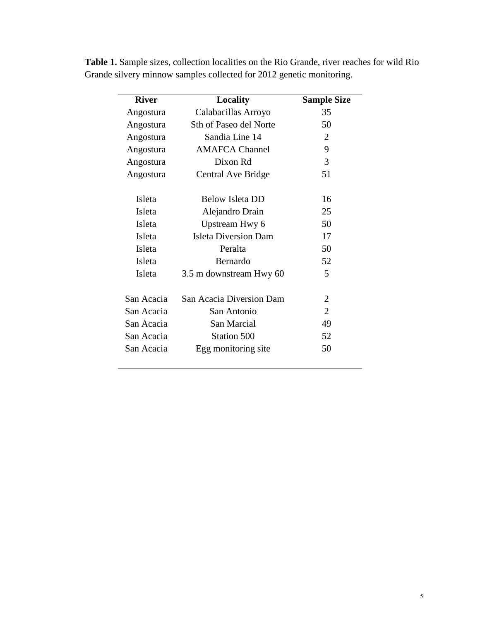| <b>River</b>  | Locality                      | <b>Sample Size</b> |
|---------------|-------------------------------|--------------------|
| Angostura     | Calabacillas Arroyo           | 35                 |
| Angostura     | <b>Sth of Paseo del Norte</b> | 50                 |
| Angostura     | Sandia Line 14                | 2                  |
| Angostura     | <b>AMAFCA Channel</b>         | 9                  |
| Angostura     | Dixon Rd                      | 3                  |
| Angostura     | Central Ave Bridge            | 51                 |
| <b>Isleta</b> | <b>Below Isleta DD</b>        | 16                 |
| Isleta        | Alejandro Drain               | 25                 |
| Isleta        | Upstream Hwy 6                | 50                 |
| Isleta        | <b>Isleta Diversion Dam</b>   | 17                 |
| Isleta        | Peralta                       | 50                 |
| <b>Isleta</b> | Bernardo                      | 52                 |
| Isleta        | 3.5 m downstream Hwy 60       | 5                  |
| San Acacia    | San Acacia Diversion Dam      | 2                  |
| San Acacia    | San Antonio                   | $\mathfrak{2}$     |
| San Acacia    | San Marcial                   | 49                 |
| San Acacia    | Station 500                   | 52                 |
| San Acacia    | Egg monitoring site           | 50                 |

**Table 1.** Sample sizes, collection localities on the Rio Grande, river reaches for wild Rio Grande silvery minnow samples collected for 2012 genetic monitoring.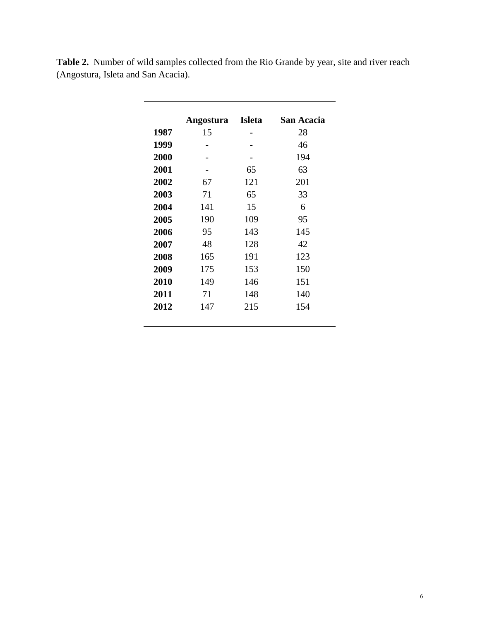|      | Angostura | <b>Isleta</b> | San Acacia |
|------|-----------|---------------|------------|
| 1987 | 15        |               | 28         |
| 1999 |           |               | 46         |
| 2000 |           |               | 194        |
| 2001 |           | 65            | 63         |
| 2002 | 67        | 121           | 201        |
| 2003 | 71        | 65            | 33         |
| 2004 | 141       | 15            | 6          |
| 2005 | 190       | 109           | 95         |
| 2006 | 95        | 143           | 145        |
| 2007 | 48        | 128           | 42         |
| 2008 | 165       | 191           | 123        |
| 2009 | 175       | 153           | 150        |
| 2010 | 149       | 146           | 151        |
| 2011 | 71        | 148           | 140        |
| 2012 | 147       | 215           | 154        |
|      |           |               |            |

**Table 2.** Number of wild samples collected from the Rio Grande by year, site and river reach (Angostura, Isleta and San Acacia).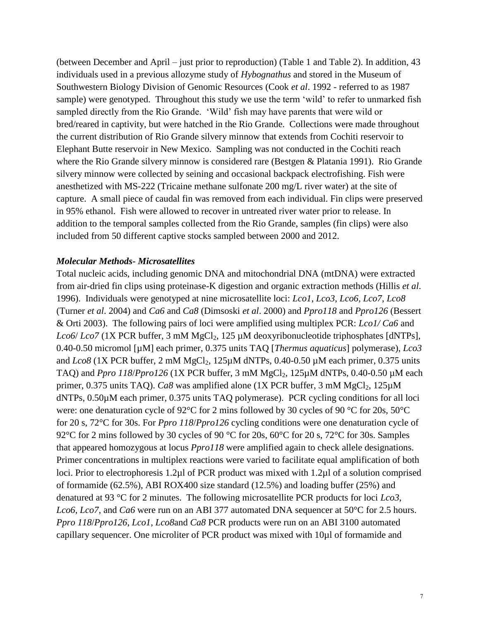(between December and April – just prior to reproduction) (Table 1 and Table 2). In addition, 43 individuals used in a previous allozyme study of *Hybognathus* and stored in the Museum of Southwestern Biology Division of Genomic Resources (Cook *et al*. 1992 - referred to as 1987 sample) were genotyped. Throughout this study we use the term 'wild' to refer to unmarked fish sampled directly from the Rio Grande. 'Wild' fish may have parents that were wild or bred/reared in captivity, but were hatched in the Rio Grande. Collections were made throughout the current distribution of Rio Grande silvery minnow that extends from Cochiti reservoir to Elephant Butte reservoir in New Mexico. Sampling was not conducted in the Cochiti reach where the Rio Grande silvery minnow is considered rare (Bestgen & Platania 1991). Rio Grande silvery minnow were collected by seining and occasional backpack electrofishing. Fish were anesthetized with MS-222 (Tricaine methane sulfonate 200 mg/L river water) at the site of capture. A small piece of caudal fin was removed from each individual. Fin clips were preserved in 95% ethanol. Fish were allowed to recover in untreated river water prior to release. In addition to the temporal samples collected from the Rio Grande, samples (fin clips) were also included from 50 different captive stocks sampled between 2000 and 2012.

### *Molecular Methods- Microsatellites*

Total nucleic acids, including genomic DNA and mitochondrial DNA (mtDNA) were extracted from air-dried fin clips using proteinase-K digestion and organic extraction methods (Hillis *et al*. 1996). Individuals were genotyped at nine microsatellite loci: *Lco1*, *Lco3*, *Lco6*, *Lco7*, *Lco8* (Turner *et al*. 2004) and *Ca6* and *Ca8* (Dimsoski *et al*. 2000) and *Ppro118* and *Ppro126* (Bessert & Orti 2003). The following pairs of loci were amplified using multiplex PCR: *Lco1/ Ca6* and *Lco6*/ *Lco7* (1X PCR buffer, 3 mM MgCl<sub>2</sub>, 125 μM deoxyribonucleotide triphosphates [dNTPs], 0.40-0.50 micromol [µM] each primer, 0.375 units TAQ [*Thermus aquaticus*] polymerase), *Lco3* and  $L\cos(1X)$  PCR buffer, 2 mM MgCl<sub>2</sub>,  $125\mu$ M dNTPs, 0.40-0.50  $\mu$ M each primer, 0.375 units TAQ) and *Ppro 118*/*Ppro126* (1X PCR buffer, 3 mM  $MgCl_2$ , 125 $\mu$ M dNTPs, 0.40-0.50  $\mu$ M each primer,  $0.375$  units TAQ). *Ca8* was amplified alone (1X PCR buffer, 3 mM MgCl<sub>2</sub>, 125 $\mu$ M dNTPs, 0.50µM each primer, 0.375 units TAQ polymerase). PCR cycling conditions for all loci were: one denaturation cycle of 92°C for 2 mins followed by 30 cycles of 90 °C for 20s, 50°C for 20 s, 72°C for 30s. For *Ppro 118*/*Ppro126* cycling conditions were one denaturation cycle of 92°C for 2 mins followed by 30 cycles of 90 °C for 20s, 60°C for 20s, 72°C for 30s. Samples that appeared homozygous at locus *Ppro118* were amplified again to check allele designations. Primer concentrations in multiplex reactions were varied to facilitate equal amplification of both loci. Prior to electrophoresis 1.2µl of PCR product was mixed with 1.2µl of a solution comprised of formamide (62.5%), ABI ROX400 size standard (12.5%) and loading buffer (25%) and denatured at 93 °C for 2 minutes. The following microsatellite PCR products for loci *Lco3*, *Lco6*, *Lco7*, and *Ca6* were run on an ABI 377 automated DNA sequencer at 50°C for 2.5 hours. *Ppro 118*/*Ppro126*, *Lco1*, *Lco8*and *Ca8* PCR products were run on an ABI 3100 automated capillary sequencer. One microliter of PCR product was mixed with 10µl of formamide and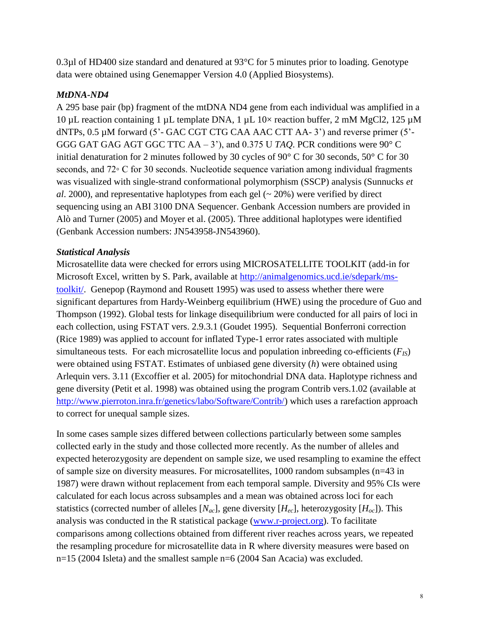0.3µl of HD400 size standard and denatured at 93°C for 5 minutes prior to loading. Genotype data were obtained using Genemapper Version 4.0 (Applied Biosystems).

# *MtDNA-ND4*

A 295 base pair (bp) fragment of the mtDNA ND4 gene from each individual was amplified in a 10  $\mu$ L reaction containing 1  $\mu$ L template DNA, 1  $\mu$ L 10× reaction buffer, 2 mM MgCl2, 125  $\mu$ M dNTPs, 0.5 µM forward (5'- GAC CGT CTG CAA AAC CTT AA-3') and reverse primer (5'-GGG GAT GAG AGT GGC TTC AA – 3'), and 0.375 U *TAQ*. PCR conditions were 90° C initial denaturation for 2 minutes followed by 30 cycles of 90° C for 30 seconds, 50° C for 30 seconds, and 72∘ C for 30 seconds. Nucleotide sequence variation among individual fragments was visualized with single-strand conformational polymorphism (SSCP) analysis (Sunnucks *et al*. 2000), and representative haplotypes from each gel (~ 20%) were verified by direct sequencing using an ABI 3100 DNA Sequencer. Genbank Accession numbers are provided in Alò and Turner (2005) and Moyer et al. (2005). Three additional haplotypes were identified (Genbank Accession numbers: JN543958-JN543960).

## *Statistical Analysis*

Microsatellite data were checked for errors using MICROSATELLITE TOOLKIT (add-in for Microsoft Excel, written by S. Park, available at [http://animalgenomics.ucd.ie/sdepark/ms](http://animalgenomics.ucd.ie/sdepark/ms-toolkit/)[toolkit/.](http://animalgenomics.ucd.ie/sdepark/ms-toolkit/) Genepop (Raymond and Rousett 1995) was used to assess whether there were significant departures from Hardy-Weinberg equilibrium (HWE) using the procedure of Guo and Thompson (1992). Global tests for linkage disequilibrium were conducted for all pairs of loci in each collection, using FSTAT vers. 2.9.3.1 (Goudet 1995). Sequential Bonferroni correction (Rice 1989) was applied to account for inflated Type-1 error rates associated with multiple simultaneous tests. For each microsatellite locus and population inbreeding co-efficients  $(F_{IS})$ were obtained using FSTAT. Estimates of unbiased gene diversity (*h*) were obtained using Arlequin vers. 3.11 (Excoffier et al*.* 2005) for mitochondrial DNA data. Haplotype richness and gene diversity (Petit et al. 1998) was obtained using the program Contrib vers.1.02 (available at [http://www.pierroton.inra.fr/genetics/labo/Software/Contrib/\)](http://www.pierroton.inra.fr/genetics/labo/Software/Contrib/) which uses a rarefaction approach to correct for unequal sample sizes.

In some cases sample sizes differed between collections particularly between some samples collected early in the study and those collected more recently. As the number of alleles and expected heterozygosity are dependent on sample size, we used resampling to examine the effect of sample size on diversity measures. For microsatellites, 1000 random subsamples (n=43 in 1987) were drawn without replacement from each temporal sample. Diversity and 95% CIs were calculated for each locus across subsamples and a mean was obtained across loci for each statistics (corrected number of alleles  $[N_{ac}]$ , gene diversity  $[H_{ec}]$ , heterozygosity  $[H_{oc}]$ ). This analysis was conducted in the R statistical package [\(www.r-project.org\)](http://www.r-project.org/). To facilitate comparisons among collections obtained from different river reaches across years, we repeated the resampling procedure for microsatellite data in R where diversity measures were based on n=15 (2004 Isleta) and the smallest sample n=6 (2004 San Acacia) was excluded.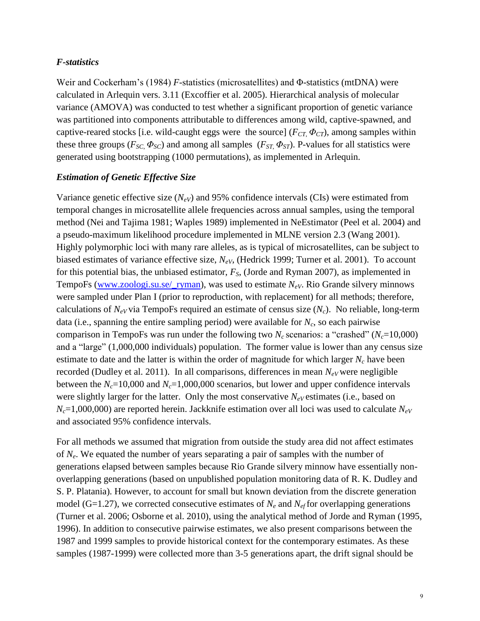### *F-statistics*

Weir and Cockerham's (1984) *F*-statistics (microsatellites) and Φ-statistics (mtDNA) were calculated in Arlequin vers. 3.11 (Excoffier et al. 2005). Hierarchical analysis of molecular variance (AMOVA) was conducted to test whether a significant proportion of genetic variance was partitioned into components attributable to differences among wild, captive-spawned, and captive-reared stocks [i.e. wild-caught eggs were the source] ( $F_{CT}$ ,  $\Phi_{CT}$ ), among samples within these three groups ( $F_{SC}$ ,  $\Phi_{SC}$ ) and among all samples ( $F_{ST}$ ,  $\Phi_{ST}$ ). P-values for all statistics were generated using bootstrapping (1000 permutations), as implemented in Arlequin.

### *Estimation of Genetic Effective Size*

Variance genetic effective size  $(N_{eV})$  and 95% confidence intervals (CIs) were estimated from temporal changes in microsatellite allele frequencies across annual samples, using the temporal method (Nei and Tajima 1981; Waples 1989) implemented in NeEstimator (Peel et al*.* 2004) and a pseudo-maximum likelihood procedure implemented in MLNE version 2.3 (Wang 2001). Highly polymorphic loci with many rare alleles, as is typical of microsatellites, can be subject to biased estimates of variance effective size, *NeV*, (Hedrick 1999; Turner et al. 2001). To account for this potential bias, the unbiased estimator, *FS*, (Jorde and Ryman 2007), as implemented in TempoFs [\(www.zoologi.su.se/](http://www.zoologi.su.se/_ryman)\_ryman), was used to estimate  $N_{eV}$ . Rio Grande silvery minnows were sampled under Plan I (prior to reproduction, with replacement) for all methods; therefore, calculations of  $N_{eV}$  via TempoFs required an estimate of census size  $(N_c)$ . No reliable, long-term data (i.e., spanning the entire sampling period) were available for *Nc*, so each pairwise comparison in TempoFs was run under the following two  $N_c$  scenarios: a "crashed" ( $N_c$ =10,000) and a "large" (1,000,000 individuals) population. The former value is lower than any census size estimate to date and the latter is within the order of magnitude for which larger  $N_c$  have been recorded (Dudley et al. 2011). In all comparisons, differences in mean  $N_{eV}$  were negligible between the  $N_c$ =10,000 and  $N_c$ =1,000,000 scenarios, but lower and upper confidence intervals were slightly larger for the latter. Only the most conservative  $N_{eV}$  estimates (i.e., based on  $N_c$ =1,000,000) are reported herein. Jackknife estimation over all loci was used to calculate  $N_{eV}$ and associated 95% confidence intervals.

For all methods we assumed that migration from outside the study area did not affect estimates of *Ne*. We equated the number of years separating a pair of samples with the number of generations elapsed between samples because Rio Grande silvery minnow have essentially nonoverlapping generations (based on unpublished population monitoring data of R. K. Dudley and S. P. Platania). However, to account for small but known deviation from the discrete generation model (G=1.27), we corrected consecutive estimates of  $N_e$  and  $N_{ef}$  for overlapping generations (Turner et al. 2006; Osborne et al. 2010), using the analytical method of Jorde and Ryman (1995, 1996). In addition to consecutive pairwise estimates, we also present comparisons between the 1987 and 1999 samples to provide historical context for the contemporary estimates. As these samples (1987-1999) were collected more than 3-5 generations apart, the drift signal should be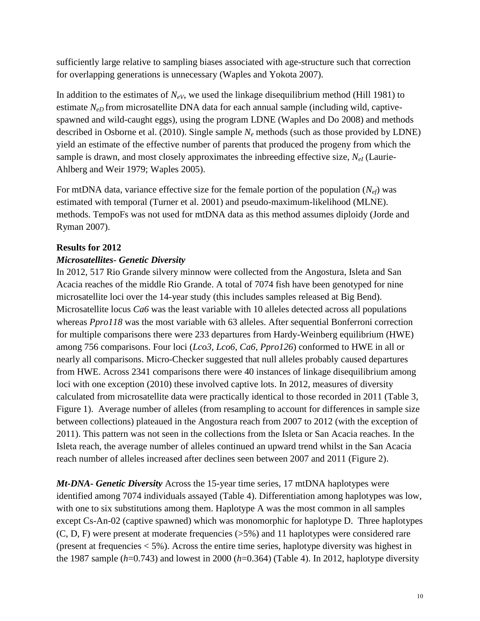sufficiently large relative to sampling biases associated with age-structure such that correction for overlapping generations is unnecessary (Waples and Yokota 2007).

In addition to the estimates of *NeV*, we used the linkage disequilibrium method (Hill 1981) to estimate *N<sub>eD</sub>* from microsatellite DNA data for each annual sample (including wild, captivespawned and wild-caught eggs), using the program LDNE (Waples and Do 2008) and methods described in Osborne et al. (2010). Single sample *N<sup>e</sup>* methods (such as those provided by LDNE) yield an estimate of the effective number of parents that produced the progeny from which the sample is drawn, and most closely approximates the inbreeding effective size,  $N_{el}$  (Laurie-Ahlberg and Weir 1979; Waples 2005).

For mtDNA data, variance effective size for the female portion of the population  $(N_{ef})$  was estimated with temporal (Turner et al. 2001) and pseudo-maximum-likelihood (MLNE). methods. TempoFs was not used for mtDNA data as this method assumes diploidy (Jorde and Ryman 2007).

## **Results for 2012**

### *Microsatellites- Genetic Diversity*

In 2012, 517 Rio Grande silvery minnow were collected from the Angostura, Isleta and San Acacia reaches of the middle Rio Grande. A total of 7074 fish have been genotyped for nine microsatellite loci over the 14-year study (this includes samples released at Big Bend). Microsatellite locus *Ca6* was the least variable with 10 alleles detected across all populations whereas *Ppro118* was the most variable with 63 alleles. After sequential Bonferroni correction for multiple comparisons there were 233 departures from Hardy-Weinberg equilibrium (HWE) among 756 comparisons. Four loci (*Lco3*, *Lco6*, *Ca6*, *Ppro126*) conformed to HWE in all or nearly all comparisons. Micro-Checker suggested that null alleles probably caused departures from HWE. Across 2341 comparisons there were 40 instances of linkage disequilibrium among loci with one exception (2010) these involved captive lots. In 2012, measures of diversity calculated from microsatellite data were practically identical to those recorded in 2011 (Table 3, Figure 1). Average number of alleles (from resampling to account for differences in sample size between collections) plateaued in the Angostura reach from 2007 to 2012 (with the exception of 2011). This pattern was not seen in the collections from the Isleta or San Acacia reaches. In the Isleta reach, the average number of alleles continued an upward trend whilst in the San Acacia reach number of alleles increased after declines seen between 2007 and 2011 (Figure 2).

*Mt-DNA- Genetic Diversity* Across the 15-year time series, 17 mtDNA haplotypes were identified among 7074 individuals assayed (Table 4). Differentiation among haplotypes was low, with one to six substitutions among them. Haplotype A was the most common in all samples except Cs-An-02 (captive spawned) which was monomorphic for haplotype D. Three haplotypes (C, D, F) were present at moderate frequencies (>5%) and 11 haplotypes were considered rare (present at frequencies < 5%). Across the entire time series, haplotype diversity was highest in the 1987 sample (*h*=0.743) and lowest in 2000 (*h*=0.364) (Table 4). In 2012, haplotype diversity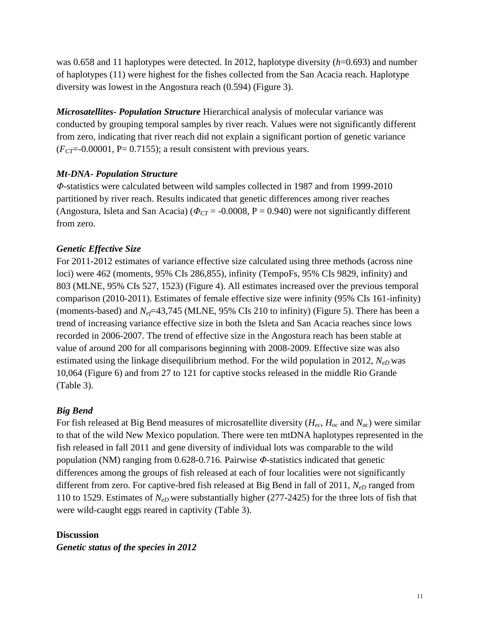was 0.658 and 11 haplotypes were detected. In 2012, haplotype diversity (*h*=0.693) and number of haplotypes (11) were highest for the fishes collected from the San Acacia reach. Haplotype diversity was lowest in the Angostura reach (0.594) (Figure 3).

*Microsatellites- Population Structure* Hierarchical analysis of molecular variance was conducted by grouping temporal samples by river reach. Values were not significantly different from zero, indicating that river reach did not explain a significant portion of genetic variance  $(F_{CT} = 0.00001, P = 0.7155)$ ; a result consistent with previous years.

## *Mt-DNA- Population Structure*

*Φ*-statistics were calculated between wild samples collected in 1987 and from 1999-2010 partitioned by river reach. Results indicated that genetic differences among river reaches (Angostura, Isleta and San Acacia) ( $\Phi_{CT}$  = -0.0008, P = 0.940) were not significantly different from zero.

## *Genetic Effective Size*

For 2011-2012 estimates of variance effective size calculated using three methods (across nine loci) were 462 (moments, 95% CIs 286,855), infinity (TempoFs, 95% CIs 9829, infinity) and 803 (MLNE, 95% CIs 527, 1523) (Figure 4). All estimates increased over the previous temporal comparison (2010-2011). Estimates of female effective size were infinity (95% CIs 161-infinity) (moments-based) and *N<sub>ef</sub>*=43,745 (MLNE, 95% CIs 210 to infinity) (Figure 5). There has been a trend of increasing variance effective size in both the Isleta and San Acacia reaches since lows recorded in 2006-2007. The trend of effective size in the Angostura reach has been stable at value of around 200 for all comparisons beginning with 2008-2009. Effective size was also estimated using the linkage disequilibrium method. For the wild population in 2012, *NeD* was 10,064 (Figure 6) and from 27 to 121 for captive stocks released in the middle Rio Grande (Table 3).

# *Big Bend*

For fish released at Big Bend measures of microsatellite diversity (*Hec*, *Hoc* and *Nac*) were similar to that of the wild New Mexico population. There were ten mtDNA haplotypes represented in the fish released in fall 2011 and gene diversity of individual lots was comparable to the wild population (NM) ranging from 0.628-0.716. Pairwise *Φ*-statistics indicated that genetic differences among the groups of fish released at each of four localities were not significantly different from zero. For captive-bred fish released at Big Bend in fall of 2011,  $N_{eD}$  ranged from 110 to 1529. Estimates of *NeD* were substantially higher (277-2425) for the three lots of fish that were wild-caught eggs reared in captivity (Table 3).

### **Discussion**

*Genetic status of the species in 2012*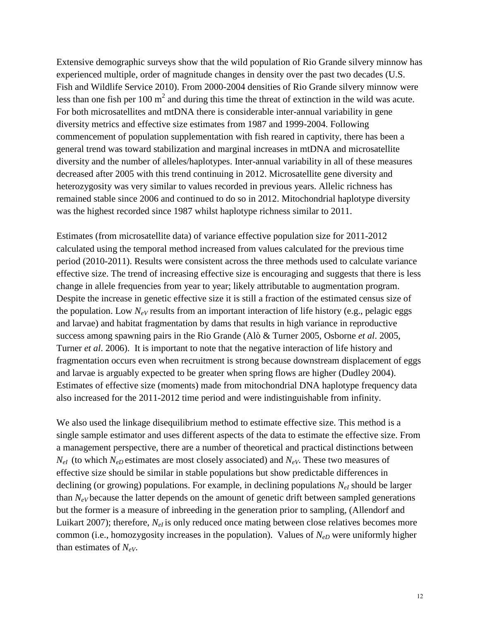Extensive demographic surveys show that the wild population of Rio Grande silvery minnow has experienced multiple, order of magnitude changes in density over the past two decades (U.S. Fish and Wildlife Service 2010). From 2000-2004 densities of Rio Grande silvery minnow were less than one fish per 100  $m^2$  and during this time the threat of extinction in the wild was acute. For both microsatellites and mtDNA there is considerable inter-annual variability in gene diversity metrics and effective size estimates from 1987 and 1999-2004. Following commencement of population supplementation with fish reared in captivity, there has been a general trend was toward stabilization and marginal increases in mtDNA and microsatellite diversity and the number of alleles/haplotypes. Inter-annual variability in all of these measures decreased after 2005 with this trend continuing in 2012. Microsatellite gene diversity and heterozygosity was very similar to values recorded in previous years. Allelic richness has remained stable since 2006 and continued to do so in 2012. Mitochondrial haplotype diversity was the highest recorded since 1987 whilst haplotype richness similar to 2011.

Estimates (from microsatellite data) of variance effective population size for 2011-2012 calculated using the temporal method increased from values calculated for the previous time period (2010-2011). Results were consistent across the three methods used to calculate variance effective size. The trend of increasing effective size is encouraging and suggests that there is less change in allele frequencies from year to year; likely attributable to augmentation program. Despite the increase in genetic effective size it is still a fraction of the estimated census size of the population. Low  $N_{eV}$  results from an important interaction of life history (e.g., pelagic eggs and larvae) and habitat fragmentation by dams that results in high variance in reproductive success among spawning pairs in the Rio Grande (Alò & Turner 2005, Osborne *et al*. 2005, Turner *et al*. 2006). It is important to note that the negative interaction of life history and fragmentation occurs even when recruitment is strong because downstream displacement of eggs and larvae is arguably expected to be greater when spring flows are higher (Dudley 2004). Estimates of effective size (moments) made from mitochondrial DNA haplotype frequency data also increased for the 2011-2012 time period and were indistinguishable from infinity.

We also used the linkage disequilibrium method to estimate effective size. This method is a single sample estimator and uses different aspects of the data to estimate the effective size. From a management perspective, there are a number of theoretical and practical distinctions between  $N_{eI}$  (to which  $N_{eD}$  estimates are most closely associated) and  $N_{eV}$ . These two measures of effective size should be similar in stable populations but show predictable differences in declining (or growing) populations. For example, in declining populations  $N_{el}$  should be larger than  $N_{eV}$  because the latter depends on the amount of genetic drift between sampled generations but the former is a measure of inbreeding in the generation prior to sampling, (Allendorf and Luikart 2007); therefore,  $N_{el}$  is only reduced once mating between close relatives becomes more common (i.e., homozygosity increases in the population). Values of *NeD* were uniformly higher than estimates of *NeV*.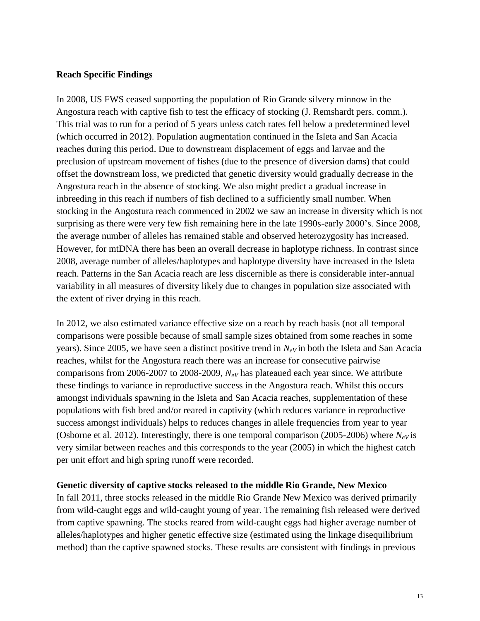### **Reach Specific Findings**

In 2008, US FWS ceased supporting the population of Rio Grande silvery minnow in the Angostura reach with captive fish to test the efficacy of stocking (J. Remshardt pers. comm.). This trial was to run for a period of 5 years unless catch rates fell below a predetermined level (which occurred in 2012). Population augmentation continued in the Isleta and San Acacia reaches during this period. Due to downstream displacement of eggs and larvae and the preclusion of upstream movement of fishes (due to the presence of diversion dams) that could offset the downstream loss, we predicted that genetic diversity would gradually decrease in the Angostura reach in the absence of stocking. We also might predict a gradual increase in inbreeding in this reach if numbers of fish declined to a sufficiently small number. When stocking in the Angostura reach commenced in 2002 we saw an increase in diversity which is not surprising as there were very few fish remaining here in the late 1990s-early 2000's. Since 2008, the average number of alleles has remained stable and observed heterozygosity has increased. However, for mtDNA there has been an overall decrease in haplotype richness. In contrast since 2008, average number of alleles/haplotypes and haplotype diversity have increased in the Isleta reach. Patterns in the San Acacia reach are less discernible as there is considerable inter-annual variability in all measures of diversity likely due to changes in population size associated with the extent of river drying in this reach.

In 2012, we also estimated variance effective size on a reach by reach basis (not all temporal comparisons were possible because of small sample sizes obtained from some reaches in some years). Since 2005, we have seen a distinct positive trend in  $N_{eV}$  in both the Isleta and San Acacia reaches, whilst for the Angostura reach there was an increase for consecutive pairwise comparisons from 2006-2007 to 2008-2009, *NeV* has plateaued each year since. We attribute these findings to variance in reproductive success in the Angostura reach. Whilst this occurs amongst individuals spawning in the Isleta and San Acacia reaches, supplementation of these populations with fish bred and/or reared in captivity (which reduces variance in reproductive success amongst individuals) helps to reduces changes in allele frequencies from year to year (Osborne et al. 2012). Interestingly, there is one temporal comparison (2005-2006) where  $N_{eV}$  is very similar between reaches and this corresponds to the year (2005) in which the highest catch per unit effort and high spring runoff were recorded.

### **Genetic diversity of captive stocks released to the middle Rio Grande, New Mexico**

In fall 2011, three stocks released in the middle Rio Grande New Mexico was derived primarily from wild-caught eggs and wild-caught young of year. The remaining fish released were derived from captive spawning. The stocks reared from wild-caught eggs had higher average number of alleles/haplotypes and higher genetic effective size (estimated using the linkage disequilibrium method) than the captive spawned stocks. These results are consistent with findings in previous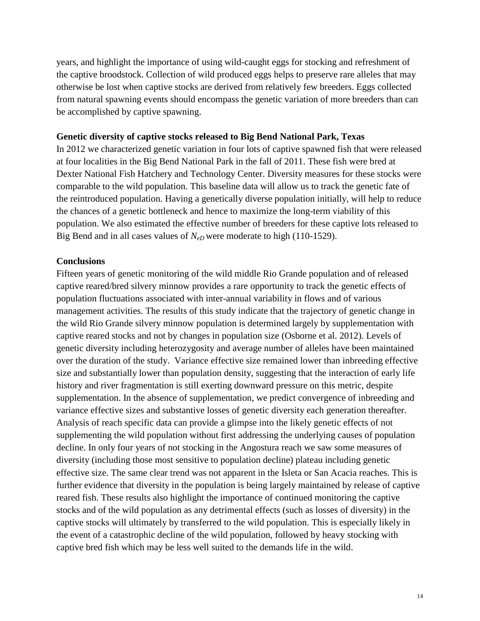years, and highlight the importance of using wild-caught eggs for stocking and refreshment of the captive broodstock. Collection of wild produced eggs helps to preserve rare alleles that may otherwise be lost when captive stocks are derived from relatively few breeders. Eggs collected from natural spawning events should encompass the genetic variation of more breeders than can be accomplished by captive spawning.

#### **Genetic diversity of captive stocks released to Big Bend National Park, Texas**

In 2012 we characterized genetic variation in four lots of captive spawned fish that were released at four localities in the Big Bend National Park in the fall of 2011. These fish were bred at Dexter National Fish Hatchery and Technology Center. Diversity measures for these stocks were comparable to the wild population. This baseline data will allow us to track the genetic fate of the reintroduced population. Having a genetically diverse population initially, will help to reduce the chances of a genetic bottleneck and hence to maximize the long-term viability of this population. We also estimated the effective number of breeders for these captive lots released to Big Bend and in all cases values of  $N_{eD}$  were moderate to high (110-1529).

#### **Conclusions**

Fifteen years of genetic monitoring of the wild middle Rio Grande population and of released captive reared/bred silvery minnow provides a rare opportunity to track the genetic effects of population fluctuations associated with inter-annual variability in flows and of various management activities. The results of this study indicate that the trajectory of genetic change in the wild Rio Grande silvery minnow population is determined largely by supplementation with captive reared stocks and not by changes in population size (Osborne et al. 2012). Levels of genetic diversity including heterozygosity and average number of alleles have been maintained over the duration of the study. Variance effective size remained lower than inbreeding effective size and substantially lower than population density, suggesting that the interaction of early life history and river fragmentation is still exerting downward pressure on this metric, despite supplementation. In the absence of supplementation, we predict convergence of inbreeding and variance effective sizes and substantive losses of genetic diversity each generation thereafter. Analysis of reach specific data can provide a glimpse into the likely genetic effects of not supplementing the wild population without first addressing the underlying causes of population decline. In only four years of not stocking in the Angostura reach we saw some measures of diversity (including those most sensitive to population decline) plateau including genetic effective size. The same clear trend was not apparent in the Isleta or San Acacia reaches. This is further evidence that diversity in the population is being largely maintained by release of captive reared fish. These results also highlight the importance of continued monitoring the captive stocks and of the wild population as any detrimental effects (such as losses of diversity) in the captive stocks will ultimately by transferred to the wild population. This is especially likely in the event of a catastrophic decline of the wild population, followed by heavy stocking with captive bred fish which may be less well suited to the demands life in the wild.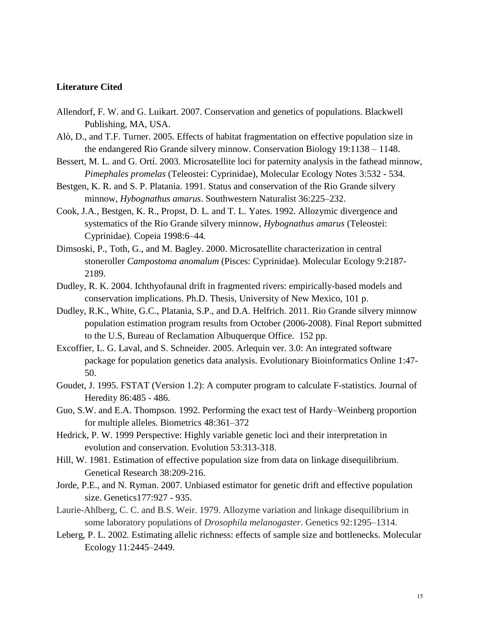#### **Literature Cited**

- Allendorf, F. W. and G. Luikart. 2007. Conservation and genetics of populations. Blackwell Publishing, MA, USA.
- Alò, D., and T.F. Turner. 2005. Effects of habitat fragmentation on effective population size in the endangered Rio Grande silvery minnow. Conservation Biology 19:1138 – 1148.
- Bessert, M. L. and G. Ortí. 2003. Microsatellite loci for paternity analysis in the fathead minnow, *Pimephales promelas* (Teleostei: Cyprinidae), Molecular Ecology Notes 3:532 - 534.
- Bestgen, K. R. and S. P. Platania. 1991. Status and conservation of the Rio Grande silvery minnow, *Hybognathus amarus*. Southwestern Naturalist 36:225–232.
- Cook, J.A.*,* Bestgen, K. R.*,* Propst, D. L*.* and T. L. Yates. 1992. Allozymic divergence and systematics of the Rio Grande silvery minnow, *Hybognathus amarus* (Teleostei: Cyprinidae)*.* Copeia 1998:6*–*44*.*
- Dimsoski, P., Toth, G., and M. Bagley. 2000. Microsatellite characterization in central stoneroller *Campostoma anomalum* (Pisces: Cyprinidae). Molecular Ecology 9:2187- 2189.
- Dudley, R. K. 2004. Ichthyofaunal drift in fragmented rivers: empirically-based models and conservation implications. Ph.D. Thesis, University of New Mexico, 101 p.
- Dudley, R.K., White, G.C., Platania, S.P., and D.A. Helfrich. 2011. Rio Grande silvery minnow population estimation program results from October (2006-2008). Final Report submitted to the U.S, Bureau of Reclamation Albuquerque Office. 152 pp.
- Excoffier, L. G. Laval, and S. Schneider. 2005. Arlequin ver. 3.0: An integrated software package for population genetics data analysis. Evolutionary Bioinformatics Online 1:47- 50.
- Goudet, J. 1995. FSTAT (Version 1.2): A computer program to calculate F-statistics. Journal of Heredity 86:485 - 486.
- Guo, S.W. and E.A. Thompson. 1992. Performing the exact test of Hardy–Weinberg proportion for multiple alleles. Biometrics 48:361–372
- Hedrick, P. W. 1999 Perspective: Highly variable genetic loci and their interpretation in evolution and conservation. Evolution 53:313-318.
- Hill, W. 1981. Estimation of effective population size from data on linkage disequilibrium. Genetical Research 38:209-216.
- Jorde, P.E., and N. Ryman. 2007. Unbiased estimator for genetic drift and effective population size. Genetics177:927 - 935.
- Laurie-Ahlberg, C. C. and B.S. Weir. 1979. Allozyme variation and linkage disequilibrium in some laboratory populations of *Drosophila melanogaster*. Genetics 92:1295–1314.
- Leberg, P. L. 2002*.* Estimating allelic richness: effects of sample size and bottlenecks*.* Molecular Ecology 11:2445*–*2449*.*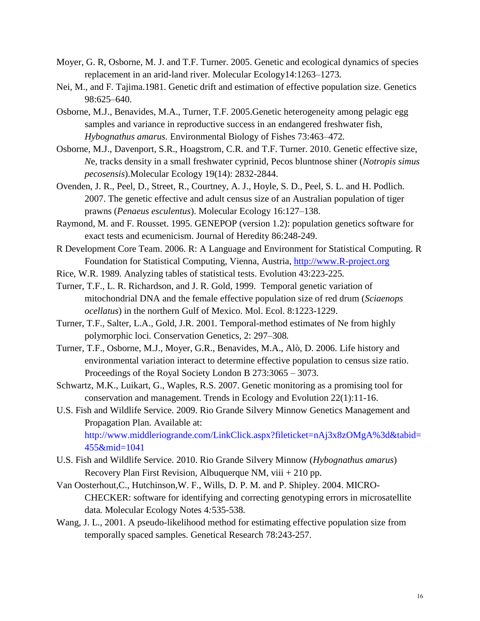- Moyer, G. R, Osborne, M. J. and T.F. Turner. 2005. Genetic and ecological dynamics of species replacement in an arid-land river*.* Molecular Ecology14:1263*–*1273*.*
- Nei, M., and F. Tajima.1981. Genetic drift and estimation of effective population size. Genetics 98:625–640.
- Osborne, M.J., Benavides, M.A., Turner, T.F. 2005.Genetic heterogeneity among pelagic egg samples and variance in reproductive success in an endangered freshwater fish, *Hybognathus amarus.* Environmental Biology of Fishes 73:463*–*472*.*
- Osborne*,* M.J., Davenport*,* S.R., Hoagstrom*,* C.R. and T.F. Turner. 2010. Genetic effective size, *N*e, tracks density in a small freshwater cyprinid, Pecos bluntnose shiner (*Notropis simus pecosensis*).Molecular Ecology 19(14): 2832-2844.
- Ovenden, J. R., Peel, D., Street, R., Courtney, A. J., Hoyle, S. D., Peel, S. L. and H. Podlich. 2007. The genetic effective and adult census size of an Australian population of tiger prawns (*Penaeus esculentus*). Molecular Ecology 16:127–138.
- Raymond, M. and F. Rousset. 1995. GENEPOP (version 1.2): population genetics software for exact tests and ecumenicism. Journal of Heredity 86:248-249.
- R Development Core Team. 2006. R: A Language and Environment for Statistical Computing. R Foundation for Statistical Computing, Vienna, Austria, [http://www.R-project.org](http://www.r-project.org/)
- Rice, W.R. 1989*.* Analyzing tables of statistical tests. Evolution 43:223*-*225*.*
- Turner, T.F., L. R. Richardson, and J. R. Gold, 1999. Temporal genetic variation of mitochondrial DNA and the female effective population size of red drum (*Sciaenops ocellatus*) in the northern Gulf of Mexico. Mol. Ecol. 8:1223-1229.
- Turner, T.F.*,* Salter, L.A.*,* Gold, J.R. 2001*.* Temporal-method estimates of Ne from highly polymorphic loci*.* Conservation Genetics*,* 2: 297*–*308*.*
- Turner, T.F., Osborne, M.J., Moyer, G.R., Benavides, M.A., Alò, D. 2006. Life history and environmental variation interact to determine effective population to census size ratio. Proceedings of the Royal Society London B 273:3065 – 3073.
- Schwartz, M.K., Luikart, G., Waples, R.S. 2007. Genetic monitoring as a promising tool for conservation and management. Trends in Ecology and Evolution 22(1):11-16.
- U.S. Fish and Wildlife Service. 2009. Rio Grande Silvery Minnow Genetics Management and Propagation Plan. Available at: [http://www.middleriogrande.com/LinkClick.aspx?fileticket=nAj3x8zOMgA%3d&tabid=](http://www.middleriogrande.com/LinkClick.aspx?fileticket=nAj3x8zOMgA%3d&tabid=455&mid=1041) [455&mid=1041](http://www.middleriogrande.com/LinkClick.aspx?fileticket=nAj3x8zOMgA%3d&tabid=455&mid=1041)
- U.S. Fish and Wildlife Service. 2010. Rio Grande Silvery Minnow (*Hybognathus amarus*) Recovery Plan First Revision, Albuquerque NM, viii  $+210$  pp.
- Van Oosterhout,C., Hutchinson,W. F., Wills, D. P. M. and P. Shipley. 2004. MICRO-CHECKER: software for identifying and correcting genotyping errors in microsatellite data*.* Molecular Ecology Notes 4*:*535*-*538*.*
- Wang, J. L., 2001. A pseudo-likelihood method for estimating effective population size from temporally spaced samples. Genetical Research 78:243-257.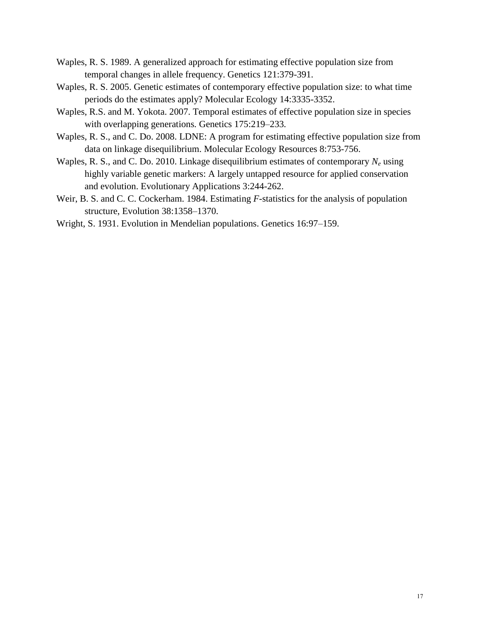- Waples, R. S. 1989. A generalized approach for estimating effective population size from temporal changes in allele frequency. Genetics 121:379-391.
- Waples, R. S. 2005. Genetic estimates of contemporary effective population size: to what time periods do the estimates apply? Molecular Ecology 14:3335-3352.
- Waples, R.S. and M. Yokota. 2007. Temporal estimates of effective population size in species with overlapping generations*.* Genetics 175:219*–*233*.*
- Waples, R. S., and C. Do. 2008. LDNE: A program for estimating effective population size from data on linkage disequilibrium. Molecular Ecology Resources 8:753-756.
- Waples, R. S., and C. Do. 2010. Linkage disequilibrium estimates of contemporary *N<sup>e</sup>* using highly variable genetic markers: A largely untapped resource for applied conservation and evolution. Evolutionary Applications 3:244-262.
- Weir, B. S. and C. C. Cockerham. 1984. Estimating *F*-statistics for the analysis of population structure, Evolution 38:1358–1370.
- Wright, S. 1931. Evolution in Mendelian populations. Genetics 16:97–159.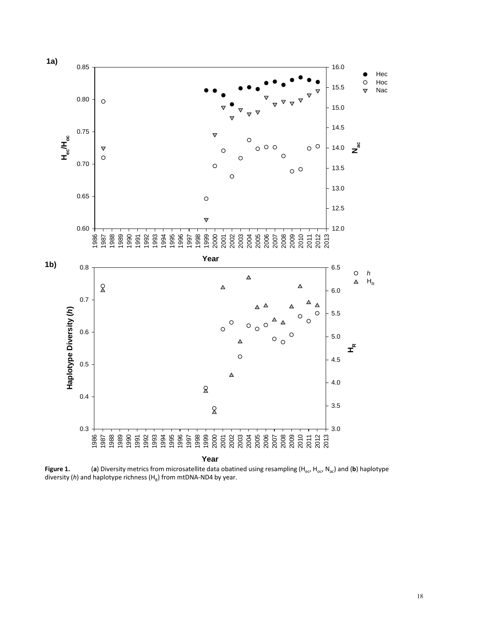

**Figure 1.** (a) Diversity metrics from microsatellite data obatined using resampling (H<sub>ec</sub>, H<sub>oc</sub>, N<sub>ac</sub>) and (b) haplotype diversity ( $h$ ) and haplotype richness ( $H_R$ ) from mtDNA-ND4 by year.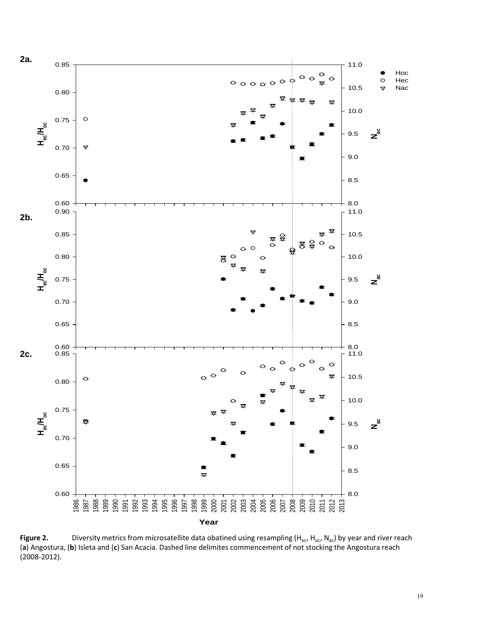

Figure 2. **Diversity metrics from microsatellite data obatined using resampling (H<sub>ec</sub>, H<sub>oc</sub>, N<sub>ac</sub>) by year and river reach** (**a**) Angostura, (**b**) Isleta and (**c**) San Acacia. Dashed line delimites commencement of not stocking the Angostura reach (2008-2012).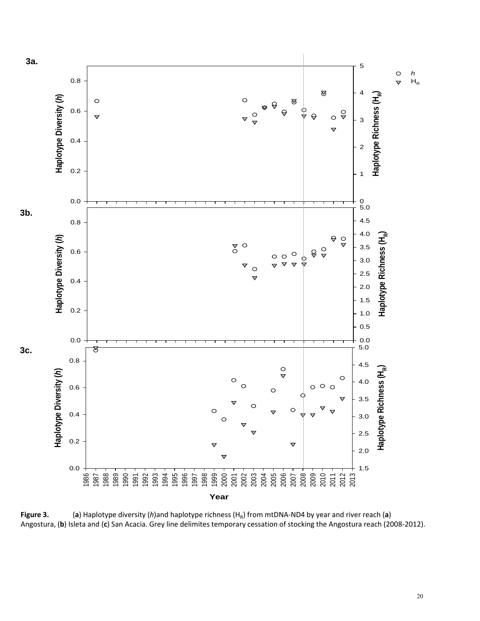

**Figure 3.** (**a**) Haplotype diversity (*h*)and haplotype richness ( $H_R$ ) from mtDNA-ND4 by year and river reach (**a**) Angostura, (**b**) Isleta and (**c**) San Acacia. Grey line delimites temporary cessation of stocking the A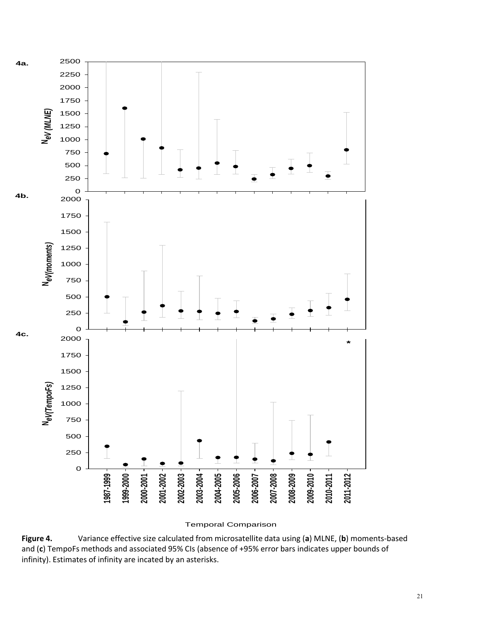

Temporal Comparison

**Figure 4.** Variance effective size calculated from microsatellite data using (**a**) MLNE, (**b**) moments-based and (**c**) TempoFs methods and associated 95% CIs (absence of +95% error bars indicates upper bounds of infinity). Estimates of infinity are incated by an asterisks.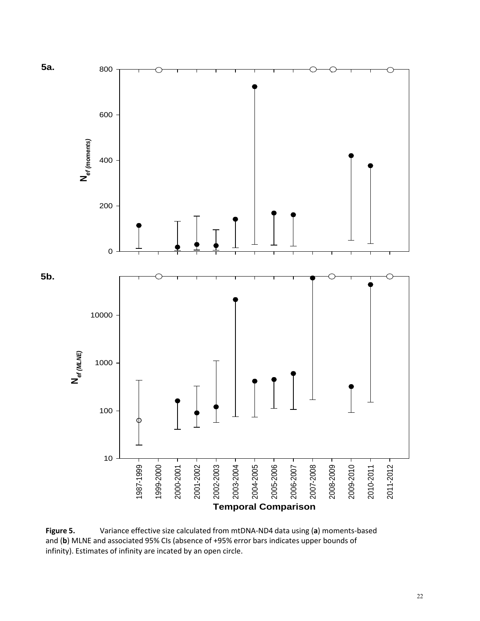

**Figure 5.** Variance effective size calculated from mtDNA-ND4 data using (**a**) moments-based and (**b**) MLNE and associated 95% CIs (absence of +95% error bars indicates upper bounds of infinity). Estimates of infinity are incated by an open circle.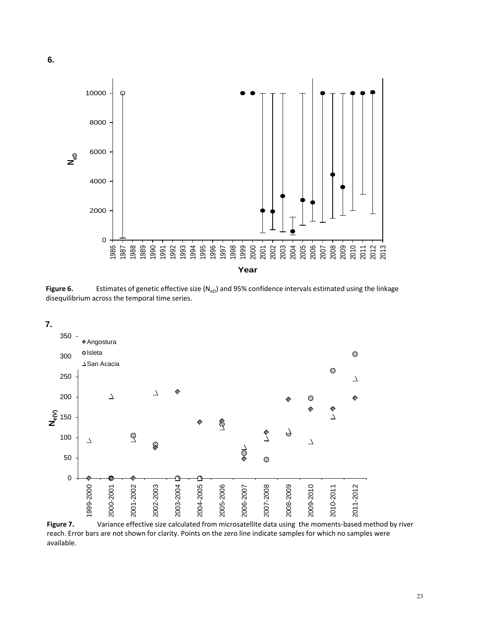



Figure 6. Estimates of genetic effective size (N<sub>eD</sub>) and 95% confidence intervals estimated using the linkage disequilibrium across the temporal time series.



Figure 7. Variance effective size calculated from microsatellite data using the moments-based method by river reach. Error bars are not shown for clarity. Points on the zero line indicate samples for which no samples were available.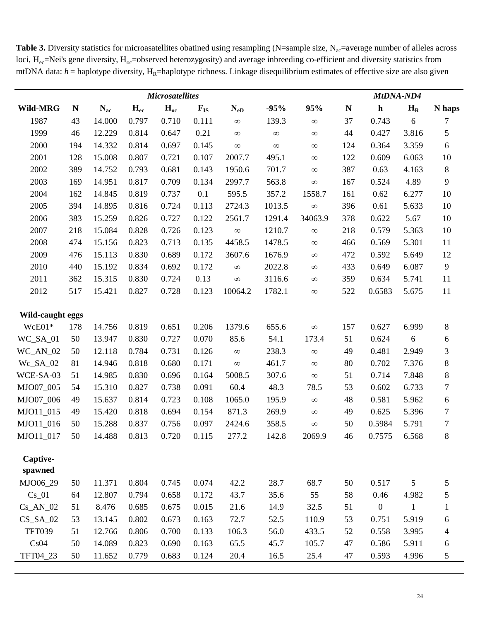Table 3. Diversity statistics for microasatellites obatined using resampling (N=sample size, N<sub>ac</sub>=average number of alleles across loci,  $H_{ec}$ =Nei's gene diversity,  $H_{oc}$ =observed heterozygosity) and average inbreeding co-efficient and diversity statistics from mtDNA data: *h* = haplotype diversity, H<sub>R</sub>=haplotype richness. Linkage disequilibrium estimates of effective size are also given

|                  |     |          |          | <b>Microsatellites</b> |          |          |          |          |             | MtDNA-ND4        |              |                |  |  |  |
|------------------|-----|----------|----------|------------------------|----------|----------|----------|----------|-------------|------------------|--------------|----------------|--|--|--|
| Wild-MRG         | N   | $N_{ac}$ | $H_{ec}$ | $H_{oc}$               | $F_{IS}$ | $N_{eD}$ | $-95%$   | 95%      | $\mathbf N$ | $\mathbf h$      | $H_R$        | N haps         |  |  |  |
| 1987             | 43  | 14.000   | 0.797    | 0.710                  | 0.111    | $\infty$ | 139.3    | $\infty$ | 37          | 0.743            | 6            | 7              |  |  |  |
| 1999             | 46  | 12.229   | 0.814    | 0.647                  | 0.21     | $\infty$ | $\infty$ | $\infty$ | 44          | 0.427            | 3.816        | 5              |  |  |  |
| 2000             | 194 | 14.332   | 0.814    | 0.697                  | 0.145    | $\infty$ | $\infty$ | $\infty$ | 124         | 0.364            | 3.359        | $\sqrt{6}$     |  |  |  |
| 2001             | 128 | 15.008   | 0.807    | 0.721                  | 0.107    | 2007.7   | 495.1    | $\infty$ | 122         | 0.609            | 6.063        | 10             |  |  |  |
| 2002             | 389 | 14.752   | 0.793    | 0.681                  | 0.143    | 1950.6   | 701.7    | $\infty$ | 387         | 0.63             | 4.163        | $\,8\,$        |  |  |  |
| 2003             | 169 | 14.951   | 0.817    | 0.709                  | 0.134    | 2997.7   | 563.8    | $\infty$ | 167         | 0.524            | 4.89         | 9              |  |  |  |
| 2004             | 162 | 14.845   | 0.819    | 0.737                  | 0.1      | 595.5    | 357.2    | 1558.7   | 161         | 0.62             | 6.277        | 10             |  |  |  |
| 2005             | 394 | 14.895   | 0.816    | 0.724                  | 0.113    | 2724.3   | 1013.5   | $\infty$ | 396         | 0.61             | 5.633        | 10             |  |  |  |
| 2006             | 383 | 15.259   | 0.826    | 0.727                  | 0.122    | 2561.7   | 1291.4   | 34063.9  | 378         | 0.622            | 5.67         | 10             |  |  |  |
| 2007             | 218 | 15.084   | 0.828    | 0.726                  | 0.123    | $\infty$ | 1210.7   | $\infty$ | 218         | 0.579            | 5.363        | 10             |  |  |  |
| 2008             | 474 | 15.156   | 0.823    | 0.713                  | 0.135    | 4458.5   | 1478.5   | $\infty$ | 466         | 0.569            | 5.301        | 11             |  |  |  |
| 2009             | 476 | 15.113   | 0.830    | 0.689                  | 0.172    | 3607.6   | 1676.9   | $\infty$ | 472         | 0.592            | 5.649        | 12             |  |  |  |
| 2010             | 440 | 15.192   | 0.834    | 0.692                  | 0.172    | $\infty$ | 2022.8   | $\infty$ | 433         | 0.649            | 6.087        | $\overline{9}$ |  |  |  |
| 2011             | 362 | 15.315   | 0.830    | 0.724                  | 0.13     | $\infty$ | 3116.6   | $\infty$ | 359         | 0.634            | 5.741        | 11             |  |  |  |
| 2012             | 517 | 15.421   | 0.827    | 0.728                  | 0.123    | 10064.2  | 1782.1   | $\infty$ | 522         | 0.6583           | 5.675        | 11             |  |  |  |
| Wild-caught eggs |     |          |          |                        |          |          |          |          |             |                  |              |                |  |  |  |
| WcE01*           | 178 | 14.756   | 0.819    | 0.651                  | 0.206    | 1379.6   | 655.6    | $\infty$ | 157         | 0.627            | 6.999        | $8\,$          |  |  |  |
| WC_SA_01         | 50  | 13.947   | 0.830    | 0.727                  | 0.070    | 85.6     | 54.1     | 173.4    | 51          | 0.624            | $6\,$        | 6              |  |  |  |
| $WC_AN_02$       | 50  | 12.118   | 0.784    | 0.731                  | 0.126    | $\infty$ | 238.3    | $\infty$ | 49          | 0.481            | 2.949        | 3              |  |  |  |
| Wc_SA_02         | 81  | 14.946   | 0.818    | 0.680                  | 0.171    | $\infty$ | 461.7    | $\infty$ | 80          | 0.702            | 7.376        | $8\,$          |  |  |  |
| WCE-SA-03        | 51  | 14.985   | 0.830    | 0.696                  | 0.164    | 5008.5   | 307.6    | $\infty$ | 51          | 0.714            | 7.848        | $\,8\,$        |  |  |  |
| MJO07_005        | 54  | 15.310   | 0.827    | 0.738                  | 0.091    | 60.4     | 48.3     | 78.5     | 53          | 0.602            | 6.733        | $\tau$         |  |  |  |
| MJO07 006        | 49  | 15.637   | 0.814    | 0.723                  | 0.108    | 1065.0   | 195.9    | $\infty$ | 48          | 0.581            | 5.962        | $\sqrt{6}$     |  |  |  |
| MJO11_015        | 49  | 15.420   | 0.818    | 0.694                  | 0.154    | 871.3    | 269.9    | $\infty$ | 49          | 0.625            | 5.396        | $\tau$         |  |  |  |
| MJO11 016        | 50  | 15.288   | 0.837    | 0.756                  | 0.097    | 2424.6   | 358.5    | $\infty$ | 50          | 0.5984           | 5.791        | $\tau$         |  |  |  |
| MJO11_017        | 50  | 14.488   | 0.813    | 0.720                  | 0.115    | 277.2    | 142.8    | 2069.9   | 46          | 0.7575           | 6.568        | 8              |  |  |  |
| Captive-         |     |          |          |                        |          |          |          |          |             |                  |              |                |  |  |  |
| spawned          |     |          |          |                        |          |          |          |          |             |                  |              |                |  |  |  |
| MJO06_29         | 50  | 11.371   | 0.804    | 0.745                  | 0.074    | 42.2     | 28.7     | 68.7     | 50          | 0.517            | 5            | 5              |  |  |  |
| $Cs_01$          | 64  | 12.807   | 0.794    | 0.658                  | 0.172    | 43.7     | 35.6     | 55       | 58          | 0.46             | 4.982        | 5              |  |  |  |
| $Cs\_AN_02$      | 51  | 8.476    | 0.685    | 0.675                  | 0.015    | 21.6     | 14.9     | 32.5     | 51          | $\boldsymbol{0}$ | $\mathbf{1}$ | $\mathbf{1}$   |  |  |  |
| $CS_SA_02$       | 53  | 13.145   | 0.802    | 0.673                  | 0.163    | 72.7     | 52.5     | 110.9    | 53          | 0.751            | 5.919        | 6              |  |  |  |
| <b>TFT039</b>    | 51  | 12.766   | 0.806    | 0.700                  | 0.133    | 106.3    | 56.0     | 433.5    | 52          | 0.558            | 3.995        | 4              |  |  |  |
| Cs04             | 50  | 14.089   | 0.823    | 0.690                  | 0.163    | 65.5     | 45.7     | 105.7    | 47          | 0.586            | 5.911        | 6              |  |  |  |
| TFT04_23         | 50  | 11.652   | 0.779    | 0.683                  | 0.124    | 20.4     | 16.5     | 25.4     | 47          | 0.593            | 4.996        | $\sqrt{5}$     |  |  |  |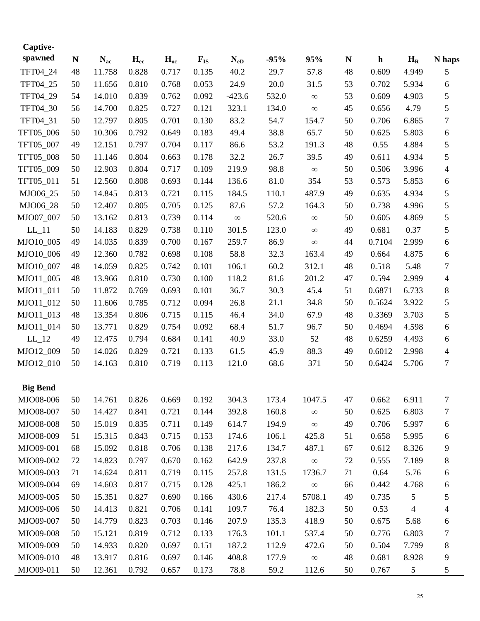| Captive-            |    |          |          |          |          |          |        |          |           |             |                          |                  |
|---------------------|----|----------|----------|----------|----------|----------|--------|----------|-----------|-------------|--------------------------|------------------|
| spawned             | N  | $N_{ac}$ | $H_{ec}$ | $H_{oc}$ | $F_{IS}$ | $N_{eD}$ | $-95%$ | 95%      | ${\bf N}$ | $\mathbf h$ | $H_R$                    | N haps           |
| TFT04 24            | 48 | 11.758   | 0.828    | 0.717    | 0.135    | 40.2     | 29.7   | 57.8     | 48        | 0.609       | 4.949                    | 5                |
| TFT04_25            | 50 | 11.656   | 0.810    | 0.768    | 0.053    | 24.9     | 20.0   | 31.5     | 53        | 0.702       | 5.934                    | 6                |
| TFT04_29            | 54 | 14.010   | 0.839    | 0.762    | 0.092    | $-423.6$ | 532.0  | $\infty$ | 53        | 0.609       | 4.903                    | 5                |
| TFT04_30            | 56 | 14.700   | 0.825    | 0.727    | 0.121    | 323.1    | 134.0  | $\infty$ | 45        | 0.656       | 4.79                     | 5                |
| TFT04_31            | 50 | 12.797   | 0.805    | 0.701    | 0.130    | 83.2     | 54.7   | 154.7    | 50        | 0.706       | 6.865                    | 7                |
| TFT05_006           | 50 | 10.306   | 0.792    | 0.649    | 0.183    | 49.4     | 38.8   | 65.7     | 50        | 0.625       | 5.803                    | 6                |
| TFT05_007           | 49 | 12.151   | 0.797    | 0.704    | 0.117    | 86.6     | 53.2   | 191.3    | 48        | 0.55        | 4.884                    | 5                |
| TFT05_008           | 50 | 11.146   | 0.804    | 0.663    | 0.178    | 32.2     | 26.7   | 39.5     | 49        | 0.611       | 4.934                    | 5                |
| TFT05_009           | 50 | 12.903   | 0.804    | 0.717    | 0.109    | 219.9    | 98.8   | $\infty$ | 50        | 0.506       | 3.996                    | $\overline{4}$   |
| TFT05_011           | 51 | 12.560   | 0.808    | 0.693    | 0.144    | 136.6    | 81.0   | 354      | 53        | 0.573       | 5.853                    | 6                |
| MJO06_25            | 50 | 14.845   | 0.813    | 0.721    | 0.115    | 184.5    | 110.1  | 487.9    | 49        | 0.635       | 4.934                    | 5                |
| MJO06_28            | 50 | 12.407   | 0.805    | 0.705    | 0.125    | 87.6     | 57.2   | 164.3    | 50        | 0.738       | 4.996                    | 5                |
| MJO07_007           | 50 | 13.162   | 0.813    | 0.739    | 0.114    | $\infty$ | 520.6  | $\infty$ | 50        | 0.605       | 4.869                    | 5                |
| $LL$ <sub>-11</sub> | 50 | 14.183   | 0.829    | 0.738    | 0.110    | 301.5    | 123.0  | $\infty$ | 49        | 0.681       | 0.37                     | 5                |
| MJO10_005           | 49 | 14.035   | 0.839    | 0.700    | 0.167    | 259.7    | 86.9   | $\infty$ | 44        | 0.7104      | 2.999                    | 6                |
| MJO10_006           | 49 | 12.360   | 0.782    | 0.698    | 0.108    | 58.8     | 32.3   | 163.4    | 49        | 0.664       | 4.875                    | 6                |
| MJO10_007           | 48 | 14.059   | 0.825    | 0.742    | 0.101    | 106.1    | 60.2   | 312.1    | 48        | 0.518       | 5.48                     | 7                |
| MJO11_005           | 48 | 13.966   | 0.810    | 0.730    | 0.100    | 118.2    | 81.6   | 201.2    | 47        | 0.594       | 2.999                    | 4                |
| MJO11_011           | 50 | 11.872   | 0.769    | 0.693    | 0.101    | 36.7     | 30.3   | 45.4     | 51        | 0.6871      | 6.733                    | 8                |
| MJO11_012           | 50 | 11.606   | 0.785    | 0.712    | 0.094    | 26.8     | 21.1   | 34.8     | 50        | 0.5624      | 3.922                    | 5                |
| MJO11_013           | 48 | 13.354   | 0.806    | 0.715    | 0.115    | 46.4     | 34.0   | 67.9     | 48        | 0.3369      | 3.703                    | 5                |
| MJO11_014           | 50 | 13.771   | 0.829    | 0.754    | 0.092    | 68.4     | 51.7   | 96.7     | 50        | 0.4694      | 4.598                    | 6                |
| $LL$ <sub>-12</sub> | 49 | 12.475   | 0.794    | 0.684    | 0.141    | 40.9     | 33.0   | 52       | 48        | 0.6259      | 4.493                    | 6                |
| MJO12_009           | 50 | 14.026   | 0.829    | 0.721    | 0.133    | 61.5     | 45.9   | 88.3     | 49        | 0.6012      | 2.998                    | 4                |
| MJO12_010           | 50 | 14.163   | 0.810    | 0.719    | 0.113    | 121.0    | 68.6   | 371      | 50        | 0.6424      | 5.706                    | $\boldsymbol{7}$ |
| <b>Big Bend</b>     |    |          |          |          |          |          |        |          |           |             |                          |                  |
| MJO08-006           | 50 | 14.761   | 0.826    | 0.669    | 0.192    | 304.3    | 173.4  | 1047.5   | 47        | 0.662       | 6.911                    | 7                |
| MJO08-007           | 50 | 14.427   | 0.841    | 0.721    | 0.144    | 392.8    | 160.8  | $\infty$ | 50        | 0.625       | 6.803                    | 7                |
| MJO08-008           | 50 | 15.019   | 0.835    | 0.711    | 0.149    | 614.7    | 194.9  | $\infty$ | 49        | 0.706       | 5.997                    | 6                |
| MJO08-009           | 51 | 15.315   | 0.843    | 0.715    | 0.153    | 174.6    | 106.1  | 425.8    | 51        | 0.658       | 5.995                    | 6                |
| MJO09-001           | 68 | 15.092   | 0.818    | 0.706    | 0.138    | 217.6    | 134.7  | 487.1    | 67        | 0.612       | 8.326                    | 9                |
| MJO09-002           | 72 | 14.823   | 0.797    | 0.670    | 0.162    | 642.9    | 237.8  | $\infty$ | 72        | 0.555       | 7.189                    | 8                |
| MJO09-003           | 71 | 14.624   | 0.811    | 0.719    | 0.115    | 257.8    | 131.5  | 1736.7   | 71        | 0.64        | 5.76                     | 6                |
| MJO09-004           | 69 | 14.603   | 0.817    | 0.715    | 0.128    | 425.1    | 186.2  | $\infty$ | 66        | 0.442       | 4.768                    | 6                |
| MJO09-005           | 50 | 15.351   | 0.827    | 0.690    | 0.166    | 430.6    | 217.4  | 5708.1   | 49        | 0.735       | 5                        | 5                |
| MJO09-006           | 50 | 14.413   | 0.821    | 0.706    | 0.141    | 109.7    | 76.4   | 182.3    | 50        | 0.53        | $\overline{\mathcal{A}}$ | 4                |
| MJO09-007           | 50 | 14.779   | 0.823    | 0.703    | 0.146    | 207.9    | 135.3  | 418.9    | 50        | 0.675       | 5.68                     | 6                |
| MJO09-008           | 50 | 15.121   | 0.819    | 0.712    | 0.133    | 176.3    | 101.1  | 537.4    | 50        | 0.776       | 6.803                    | 7                |
| MJO09-009           | 50 | 14.933   | 0.820    | 0.697    | 0.151    | 187.2    | 112.9  | 472.6    | 50        | 0.504       | 7.799                    | 8                |
| MJO09-010           | 48 | 13.917   | 0.816    | 0.697    | 0.146    | 408.8    | 177.9  | $\infty$ | 48        | 0.681       | 8.928                    | 9                |
| MJO09-011           | 50 | 12.361   | 0.792    | 0.657    | 0.173    | 78.8     | 59.2   | 112.6    | 50        | 0.767       | 5                        | 5                |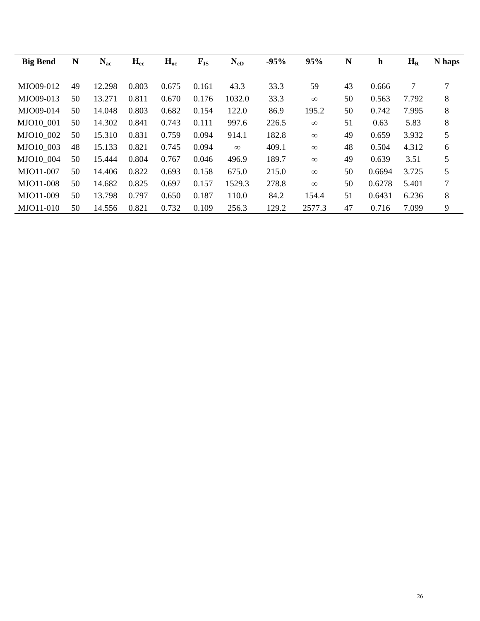| <b>Big Bend</b> | N  | $N_{ac}$ | $H_{ec}$ | $H_{oc}$ | $F_{IS}$ | $N_{eD}$ | $-95%$ | 95%      | N  | $\mathbf h$ | $H_R$ | N haps |
|-----------------|----|----------|----------|----------|----------|----------|--------|----------|----|-------------|-------|--------|
| MJO09-012       | 49 | 12.298   | 0.803    | 0.675    | 0.161    | 43.3     | 33.3   | 59       | 43 | 0.666       | 7     | 7      |
| MJO09-013       | 50 | 13.271   | 0.811    | 0.670    | 0.176    | 1032.0   | 33.3   | $\infty$ | 50 | 0.563       | 7.792 | 8      |
| MJO09-014       | 50 | 14.048   | 0.803    | 0.682    | 0.154    | 122.0    | 86.9   | 195.2    | 50 | 0.742       | 7.995 | 8      |
| MJO10 001       | 50 | 14.302   | 0.841    | 0.743    | 0.111    | 997.6    | 226.5  | $\infty$ | 51 | 0.63        | 5.83  | 8      |
| MJO10 002       | 50 | 15.310   | 0.831    | 0.759    | 0.094    | 914.1    | 182.8  | $\infty$ | 49 | 0.659       | 3.932 | 5      |
| MJO10 003       | 48 | 15.133   | 0.821    | 0.745    | 0.094    | $\infty$ | 409.1  | $\infty$ | 48 | 0.504       | 4.312 | 6      |
| MJO10 004       | 50 | 15.444   | 0.804    | 0.767    | 0.046    | 496.9    | 189.7  | $\infty$ | 49 | 0.639       | 3.51  | 5      |
| MJO11-007       | 50 | 14.406   | 0.822    | 0.693    | 0.158    | 675.0    | 215.0  | $\infty$ | 50 | 0.6694      | 3.725 | 5      |
| MJO11-008       | 50 | 14.682   | 0.825    | 0.697    | 0.157    | 1529.3   | 278.8  | $\infty$ | 50 | 0.6278      | 5.401 | 7      |
| MJO11-009       | 50 | 13.798   | 0.797    | 0.650    | 0.187    | 110.0    | 84.2   | 154.4    | 51 | 0.6431      | 6.236 | 8      |
| MJO11-010       | 50 | 14.556   | 0.821    | 0.732    | 0.109    | 256.3    | 129.2  | 2577.3   | 47 | 0.716       | 7.099 | 9      |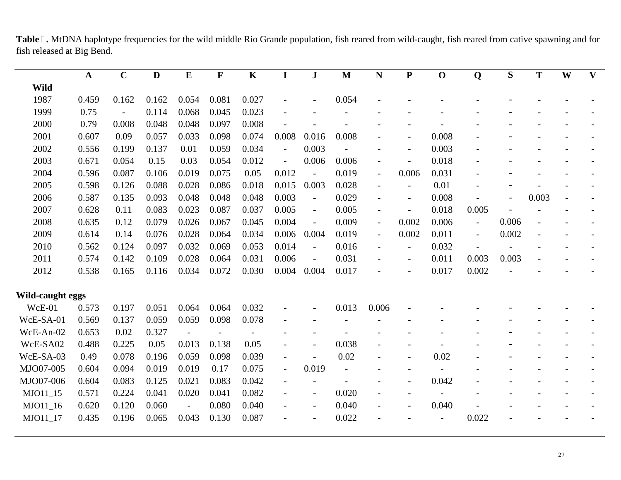Table 6. MtDNA haplotype frequencies for the wild middle Rio Grande population, fish reared from wild-caught, fish reared from cative spawning and for fish released at Big Bend.

|                  | $\mathbf A$ | $\mathbf C$              | $\mathbf D$ | $\bf{E}$       | $\mathbf F$ | $\mathbf K$ | $\mathbf I$              | ${\bf J}$                | $\mathbf M$              | $\mathbf N$              | $\mathbf P$              | $\mathbf 0$              | Q                        | S     | T     | W | $\mathbf{V}$ |
|------------------|-------------|--------------------------|-------------|----------------|-------------|-------------|--------------------------|--------------------------|--------------------------|--------------------------|--------------------------|--------------------------|--------------------------|-------|-------|---|--------------|
| <b>Wild</b>      |             |                          |             |                |             |             |                          |                          |                          |                          |                          |                          |                          |       |       |   |              |
| 1987             | 0.459       | 0.162                    | 0.162       | 0.054          | 0.081       | 0.027       |                          |                          | 0.054                    |                          |                          |                          |                          |       |       |   |              |
| 1999             | 0.75        | $\overline{\phantom{a}}$ | 0.114       | 0.068          | 0.045       | 0.023       |                          |                          |                          |                          |                          |                          |                          |       |       |   |              |
| 2000             | 0.79        | 0.008                    | 0.048       | 0.048          | 0.097       | 0.008       |                          |                          |                          |                          |                          |                          |                          |       |       |   |              |
| 2001             | 0.607       | 0.09                     | 0.057       | 0.033          | 0.098       | 0.074       | 0.008                    | 0.016                    | 0.008                    |                          |                          | 0.008                    |                          |       |       |   |              |
| 2002             | 0.556       | 0.199                    | 0.137       | 0.01           | 0.059       | 0.034       | $\frac{1}{2}$            | 0.003                    |                          |                          |                          | 0.003                    |                          |       |       |   |              |
| 2003             | 0.671       | 0.054                    | 0.15        | 0.03           | 0.054       | 0.012       | $\frac{1}{2}$            | 0.006                    | 0.006                    | $\overline{\phantom{a}}$ | $\overline{\phantom{a}}$ | 0.018                    |                          |       |       |   |              |
| 2004             | 0.596       | 0.087                    | 0.106       | 0.019          | 0.075       | 0.05        | 0.012                    | $\overline{\phantom{a}}$ | 0.019                    | $\blacksquare$           | 0.006                    | 0.031                    |                          |       |       |   |              |
| 2005             | 0.598       | 0.126                    | 0.088       | 0.028          | 0.086       | 0.018       | 0.015                    | 0.003                    | 0.028                    | $\overline{\phantom{a}}$ | $\overline{\phantom{a}}$ | 0.01                     |                          |       |       |   |              |
| 2006             | 0.587       | 0.135                    | 0.093       | 0.048          | 0.048       | 0.048       | 0.003                    | $\overline{\phantom{a}}$ | 0.029                    | $\overline{\phantom{a}}$ | $\overline{\phantom{a}}$ | 0.008                    |                          |       | 0.003 |   |              |
| 2007             | 0.628       | 0.11                     | 0.083       | 0.023          | 0.087       | 0.037       | 0.005                    | $\overline{\phantom{a}}$ | 0.005                    | $\overline{\phantom{a}}$ | $\overline{\phantom{a}}$ | 0.018                    | 0.005                    |       |       |   |              |
| 2008             | 0.635       | 0.12                     | 0.079       | 0.026          | 0.067       | 0.045       | 0.004                    | $\overline{\phantom{a}}$ | 0.009                    | $\blacksquare$           | 0.002                    | 0.006                    | $\overline{\phantom{a}}$ | 0.006 |       |   |              |
| 2009             | 0.614       | 0.14                     | 0.076       | 0.028          | 0.064       | 0.034       | 0.006                    | 0.004                    | 0.019                    | $\overline{\phantom{a}}$ | 0.002                    | 0.011                    | $\overline{\phantom{a}}$ | 0.002 |       |   |              |
| 2010             | 0.562       | 0.124                    | 0.097       | 0.032          | 0.069       | 0.053       | 0.014                    | $\overline{\phantom{a}}$ | 0.016                    | $\blacksquare$           | $\overline{\phantom{a}}$ | 0.032                    | $\overline{\phantom{a}}$ |       |       |   |              |
| 2011             | 0.574       | 0.142                    | 0.109       | 0.028          | 0.064       | 0.031       | 0.006                    | $\overline{\phantom{a}}$ | 0.031                    | $\overline{\phantom{a}}$ | $\overline{\phantom{a}}$ | 0.011                    | 0.003                    | 0.003 |       |   |              |
| 2012             | 0.538       | 0.165                    | 0.116       | 0.034          | 0.072       | 0.030       | 0.004                    | 0.004                    | 0.017                    | $\overline{a}$           | $\overline{\phantom{a}}$ | 0.017                    | 0.002                    |       |       |   |              |
| Wild-caught eggs |             |                          |             |                |             |             |                          |                          |                          |                          |                          |                          |                          |       |       |   |              |
| WcE-01           | 0.573       | 0.197                    | 0.051       | 0.064          | 0.064       | 0.032       |                          |                          | 0.013                    | 0.006                    |                          |                          |                          |       |       |   |              |
| WcE-SA-01        | 0.569       | 0.137                    | 0.059       | 0.059          | 0.098       | 0.078       |                          |                          |                          |                          |                          |                          |                          |       |       |   |              |
| WcE-An-02        | 0.653       | 0.02                     | 0.327       | $\overline{a}$ |             |             |                          |                          |                          |                          |                          |                          |                          |       |       |   |              |
| WcE-SA02         | 0.488       | 0.225                    | 0.05        | 0.013          | 0.138       | 0.05        |                          |                          | 0.038                    |                          |                          |                          |                          |       |       |   |              |
| WcE-SA-03        | 0.49        | 0.078                    | 0.196       | 0.059          | 0.098       | 0.039       |                          |                          | 0.02                     |                          |                          | 0.02                     |                          |       |       |   |              |
| MJO07-005        | 0.604       | 0.094                    | 0.019       | 0.019          | 0.17        | 0.075       | $\overline{\phantom{a}}$ | 0.019                    | $\overline{\phantom{a}}$ |                          |                          |                          |                          |       |       |   |              |
| MJO07-006        | 0.604       | 0.083                    | 0.125       | 0.021          | 0.083       | 0.042       |                          |                          |                          |                          |                          | 0.042                    |                          |       |       |   |              |
| MJO11 15         | 0.571       | 0.224                    | 0.041       | 0.020          | 0.041       | 0.082       |                          | $\overline{\phantom{a}}$ | 0.020                    |                          |                          |                          |                          |       |       |   |              |
| MJO11_16         | 0.620       | 0.120                    | 0.060       | $\overline{a}$ | 0.080       | 0.040       |                          | $\overline{\phantom{a}}$ | 0.040                    | $\overline{\phantom{0}}$ |                          | 0.040                    |                          |       |       |   |              |
| MJO11_17         | 0.435       | 0.196                    | 0.065       | 0.043          | 0.130       | 0.087       |                          |                          | 0.022                    |                          |                          | $\overline{\phantom{a}}$ | 0.022                    |       |       |   |              |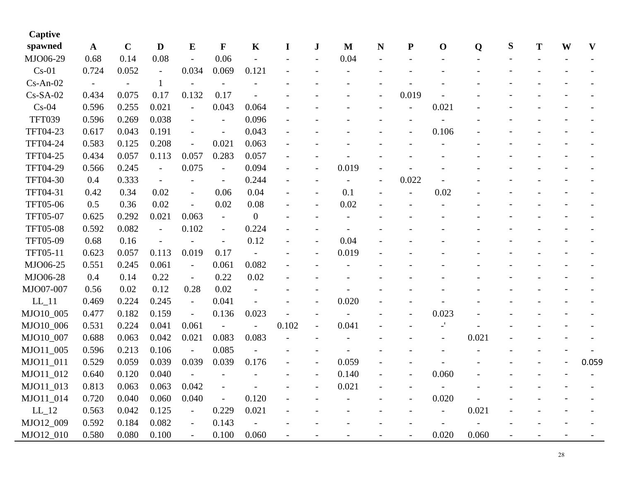| Captive             |              |             |                |                          |                          |                          |       |                          |                          |             |           |                          |       |   |   |   |                           |
|---------------------|--------------|-------------|----------------|--------------------------|--------------------------|--------------------------|-------|--------------------------|--------------------------|-------------|-----------|--------------------------|-------|---|---|---|---------------------------|
| spawned             | $\mathbf{A}$ | $\mathbf C$ | $\mathbf{D}$   | ${\bf E}$                | $\mathbf F$              | K                        | I     | $\bf J$                  | $\mathbf{M}$             | $\mathbf N$ | ${\bf P}$ | $\mathbf 0$              | Q     | S | T | W | $\boldsymbol{\mathrm{V}}$ |
| MJO06-29            | 0.68         | 0.14        | 0.08           |                          | 0.06                     | $\overline{a}$           |       |                          | 0.04                     |             |           |                          |       |   |   |   |                           |
| $Cs-01$             | 0.724        | 0.052       | $\overline{a}$ | 0.034                    | 0.069                    | 0.121                    |       |                          |                          |             |           |                          |       |   |   |   |                           |
| $Cs$ -An-02         |              |             | 1              |                          |                          |                          |       |                          |                          |             |           |                          |       |   |   |   |                           |
| $Cs-SA-02$          | 0.434        | 0.075       | 0.17           | 0.132                    | 0.17                     |                          |       |                          |                          |             | 0.019     |                          |       |   |   |   |                           |
| $Cs-04$             | 0.596        | 0.255       | 0.021          | $\overline{\phantom{a}}$ | 0.043                    | 0.064                    |       |                          |                          |             |           | 0.021                    |       |   |   |   |                           |
| <b>TFT039</b>       | 0.596        | 0.269       | 0.038          | $\overline{\phantom{a}}$ | $\overline{\phantom{a}}$ | 0.096                    |       |                          |                          |             |           |                          |       |   |   |   |                           |
| TFT04-23            | 0.617        | 0.043       | 0.191          | $\overline{\phantom{a}}$ | $\overline{\phantom{a}}$ | 0.043                    |       |                          |                          |             |           | 0.106                    |       |   |   |   |                           |
| <b>TFT04-24</b>     | 0.583        | 0.125       | 0.208          |                          | 0.021                    | 0.063                    |       |                          |                          |             |           |                          |       |   |   |   |                           |
| TFT04-25            | 0.434        | 0.057       | 0.113          | 0.057                    | 0.283                    | 0.057                    |       |                          |                          |             |           |                          |       |   |   |   |                           |
| TFT04-29            | 0.566        | 0.245       | $\blacksquare$ | 0.075                    | $\overline{a}$           | 0.094                    |       |                          | 0.019                    |             |           |                          |       |   |   |   |                           |
| TFT04-30            | 0.4          | 0.333       | $\equiv$       |                          | $\overline{\phantom{a}}$ | 0.244                    |       |                          | $\overline{\phantom{a}}$ |             | 0.022     |                          |       |   |   |   |                           |
| TFT04-31            | 0.42         | 0.34        | 0.02           | $\overline{\phantom{a}}$ | 0.06                     | 0.04                     |       |                          | 0.1                      |             |           | 0.02                     |       |   |   |   |                           |
| <b>TFT05-06</b>     | 0.5          | 0.36        | 0.02           |                          | 0.02                     | 0.08                     |       |                          | 0.02                     |             |           |                          |       |   |   |   |                           |
| <b>TFT05-07</b>     | 0.625        | 0.292       | 0.021          | 0.063                    | $\overline{\phantom{a}}$ | $\boldsymbol{0}$         |       |                          |                          |             |           |                          |       |   |   |   |                           |
| <b>TFT05-08</b>     | 0.592        | 0.082       | $\equiv$       | 0.102                    | $\overline{\phantom{a}}$ | 0.224                    |       |                          |                          |             |           |                          |       |   |   |   |                           |
| TFT05-09            | 0.68         | 0.16        | $\blacksquare$ |                          | $\overline{\phantom{a}}$ | 0.12                     |       |                          | 0.04                     |             |           |                          |       |   |   |   |                           |
| TFT05-11            | 0.623        | 0.057       | 0.113          | 0.019                    | 0.17                     |                          |       |                          | 0.019                    |             |           |                          |       |   |   |   |                           |
| MJO06-25            | 0.551        | 0.245       | 0.061          | $\blacksquare$           | 0.061                    | 0.082                    |       |                          |                          |             |           |                          |       |   |   |   |                           |
| MJO06-28            | 0.4          | 0.14        | 0.22           | $\blacksquare$           | 0.22                     | 0.02                     |       |                          |                          |             |           |                          |       |   |   |   |                           |
| MJO07-007           | 0.56         | 0.02        | 0.12           | 0.28                     | 0.02                     |                          |       |                          |                          |             |           |                          |       |   |   |   |                           |
| $LL$ <sup>11</sup>  | 0.469        | 0.224       | 0.245          | $\blacksquare$           | 0.041                    |                          |       |                          | 0.020                    |             |           |                          |       |   |   |   |                           |
| MJO10_005           | 0.477        | 0.182       | 0.159          | $\blacksquare$           | 0.136                    | 0.023                    |       |                          |                          |             |           | 0.023                    |       |   |   |   |                           |
| MJO10_006           | 0.531        | 0.224       | 0.041          | 0.061                    | $\overline{a}$           | $\overline{\phantom{a}}$ | 0.102 | $\overline{\phantom{a}}$ | 0.041                    |             |           | $\overline{a}$           |       |   |   |   |                           |
| MJO10_007           | 0.688        | 0.063       | 0.042          | 0.021                    | 0.083                    | 0.083                    |       |                          |                          |             |           | $\overline{\phantom{0}}$ | 0.021 |   |   |   |                           |
| MJO11_005           | 0.596        | 0.213       | 0.106          | $\overline{\phantom{a}}$ | 0.085                    |                          |       |                          |                          |             |           |                          |       |   |   |   |                           |
| MJO11_011           | 0.529        | 0.059       | 0.039          | 0.039                    | 0.039                    | 0.176                    |       |                          | 0.059                    |             |           |                          |       |   |   |   | 0.059                     |
| MJO11_012           | 0.640        | 0.120       | 0.040          |                          |                          |                          |       |                          | 0.140                    |             |           | 0.060                    |       |   |   |   |                           |
| MJO11_013           | 0.813        | 0.063       | 0.063          | 0.042                    |                          |                          |       |                          | 0.021                    |             |           |                          |       |   |   |   |                           |
| MJO11_014           | 0.720        | 0.040       | 0.060          | 0.040                    |                          | 0.120                    |       |                          |                          |             |           | 0.020                    |       |   |   |   |                           |
| $LL$ <sub>-12</sub> | 0.563        | 0.042       | 0.125          | $\blacksquare$           | 0.229                    | 0.021                    |       |                          |                          |             |           | $\overline{\phantom{0}}$ | 0.021 |   |   |   |                           |
| MJO12 009           | 0.592        | 0.184       | 0.082          |                          | 0.143                    | $\overline{\phantom{a}}$ |       |                          |                          |             |           |                          |       |   |   |   |                           |
| MJO12_010           | 0.580        | 0.080       | 0.100          |                          | 0.100                    | 0.060                    |       |                          |                          |             |           | 0.020                    | 0.060 |   |   |   |                           |